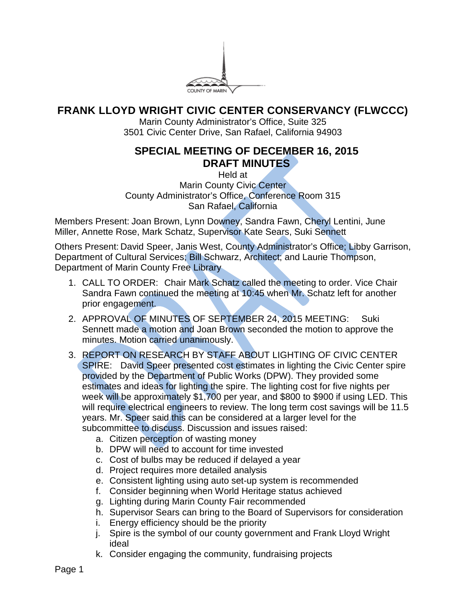

## **FRANK LLOYD WRIGHT CIVIC CENTER CONSERVANCY (FLWCCC)**

Marin County Administrator's Office, Suite 325 3501 Civic Center Drive, San Rafael, California 94903

## **SPECIAL MEETING OF DECEMBER 16, 2015 DRAFT MINUTES**

Held at Marin County Civic Center County Administrator's Office, Conference Room 315 San Rafael, California

Members Present: Joan Brown, Lynn Downey, Sandra Fawn, Cheryl Lentini, June Miller, Annette Rose, Mark Schatz, Supervisor Kate Sears, Suki Sennett

Others Present: David Speer, Janis West, County Administrator's Office; Libby Garrison, Department of Cultural Services; Bill Schwarz, Architect; and Laurie Thompson, Department of Marin County Free Library

- 1. CALL TO ORDER: Chair Mark Schatz called the meeting to order. Vice Chair Sandra Fawn continued the meeting at 10:45 when Mr. Schatz left for another prior engagement.
- 2. APPROVAL OF MINUTES OF SEPTEMBER 24, 2015 MEETING: Suki Sennett made a motion and Joan Brown seconded the motion to approve the minutes. Motion carried unanimously.
- 3. REPORT ON RESEARCH BY STAFF ABOUT LIGHTING OF CIVIC CENTER SPIRE: David Speer presented cost estimates in lighting the Civic Center spire provided by the Department of Public Works (DPW). They provided some estimates and ideas for lighting the spire. The lighting cost for five nights per week will be approximately \$1,700 per year, and \$800 to \$900 if using LED. This will require electrical engineers to review. The long term cost savings will be 11.5 years. Mr. Speer said this can be considered at a larger level for the subcommittee to discuss. Discussion and issues raised:
	- a. Citizen perception of wasting money
	- b. DPW will need to account for time invested
	- c. Cost of bulbs may be reduced if delayed a year
	- d. Project requires more detailed analysis
	- e. Consistent lighting using auto set-up system is recommended
	- f. Consider beginning when World Heritage status achieved
	- g. Lighting during Marin County Fair recommended
	- h. Supervisor Sears can bring to the Board of Supervisors for consideration
	- i. Energy efficiency should be the priority
	- j. Spire is the symbol of our county government and Frank Lloyd Wright ideal
	- k. Consider engaging the community, fundraising projects